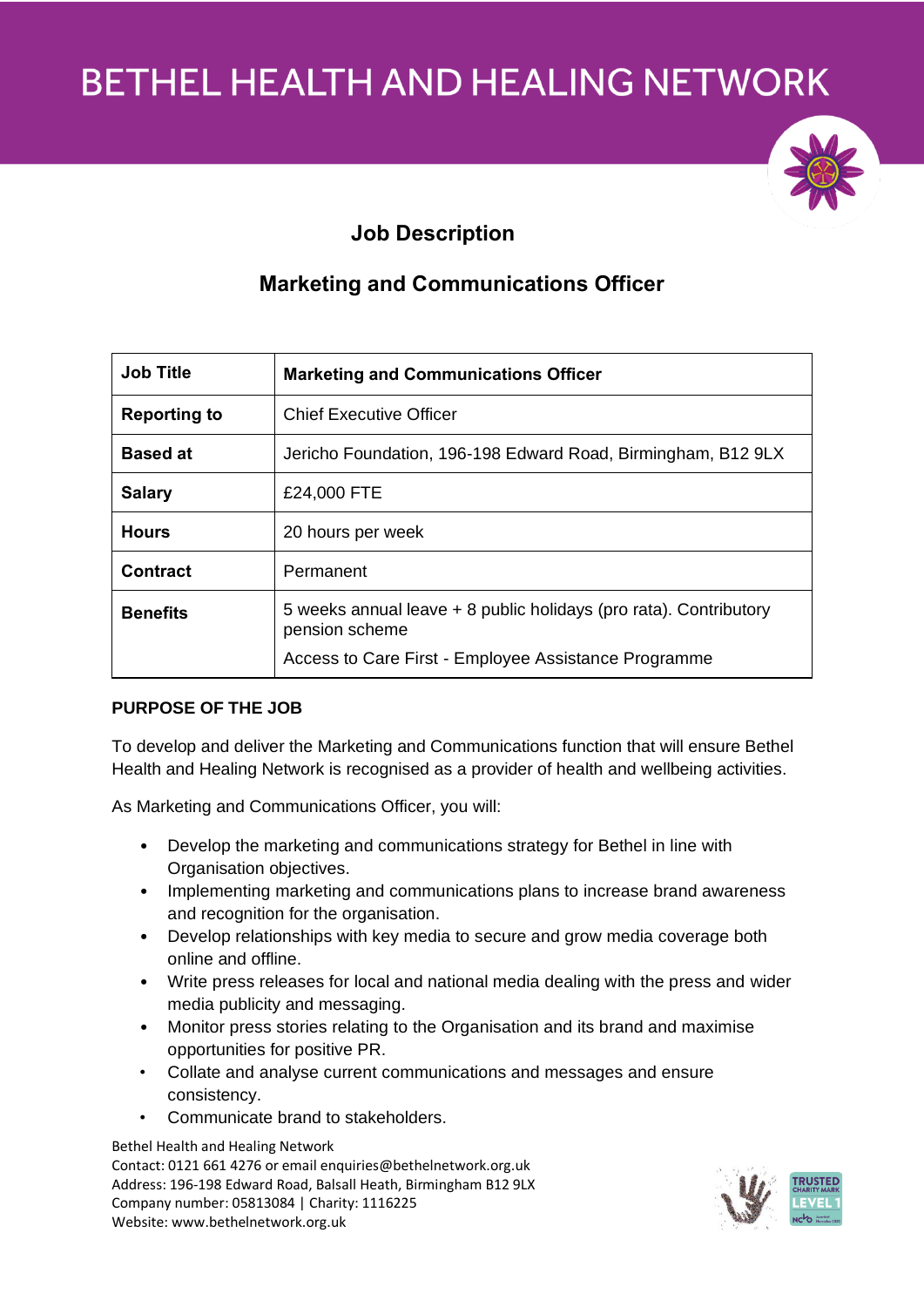

# **Job Description**

# **Marketing and Communications Officer**

| <b>Job Title</b>    | <b>Marketing and Communications Officer</b>                                                                                                 |
|---------------------|---------------------------------------------------------------------------------------------------------------------------------------------|
| <b>Reporting to</b> | Chief Executive Officer                                                                                                                     |
| <b>Based at</b>     | Jericho Foundation, 196-198 Edward Road, Birmingham, B12 9LX                                                                                |
| <b>Salary</b>       | £24,000 FTE                                                                                                                                 |
| <b>Hours</b>        | 20 hours per week                                                                                                                           |
| <b>Contract</b>     | Permanent                                                                                                                                   |
| <b>Benefits</b>     | 5 weeks annual leave + 8 public holidays (pro rata). Contributory<br>pension scheme<br>Access to Care First - Employee Assistance Programme |

# **PURPOSE OF THE JOB**

To develop and deliver the Marketing and Communications function that will ensure Bethel Health and Healing Network is recognised as a provider of health and wellbeing activities.

As Marketing and Communications Officer, you will:

- Develop the marketing and communications strategy for Bethel in line with Organisation objectives.
- Implementing marketing and communications plans to increase brand awareness and recognition for the organisation.
- Develop relationships with key media to secure and grow media coverage both online and offline.
- Write press releases for local and national media dealing with the press and wider media publicity and messaging.
- Monitor press stories relating to the Organisation and its brand and maximise opportunities for positive PR.
- Collate and analyse current communications and messages and ensure consistency.
- Communicate brand to stakeholders.

Bethel Health and Healing Network Contact: 0121 661 4276 or email enquiries@bethelnetwork.org.uk Address: 196-198 Edward Road, Balsall Heath, Birmingham B12 9LX Company number: 05813084 | Charity: 1116225 Website: www.bethelnetwork.org.uk

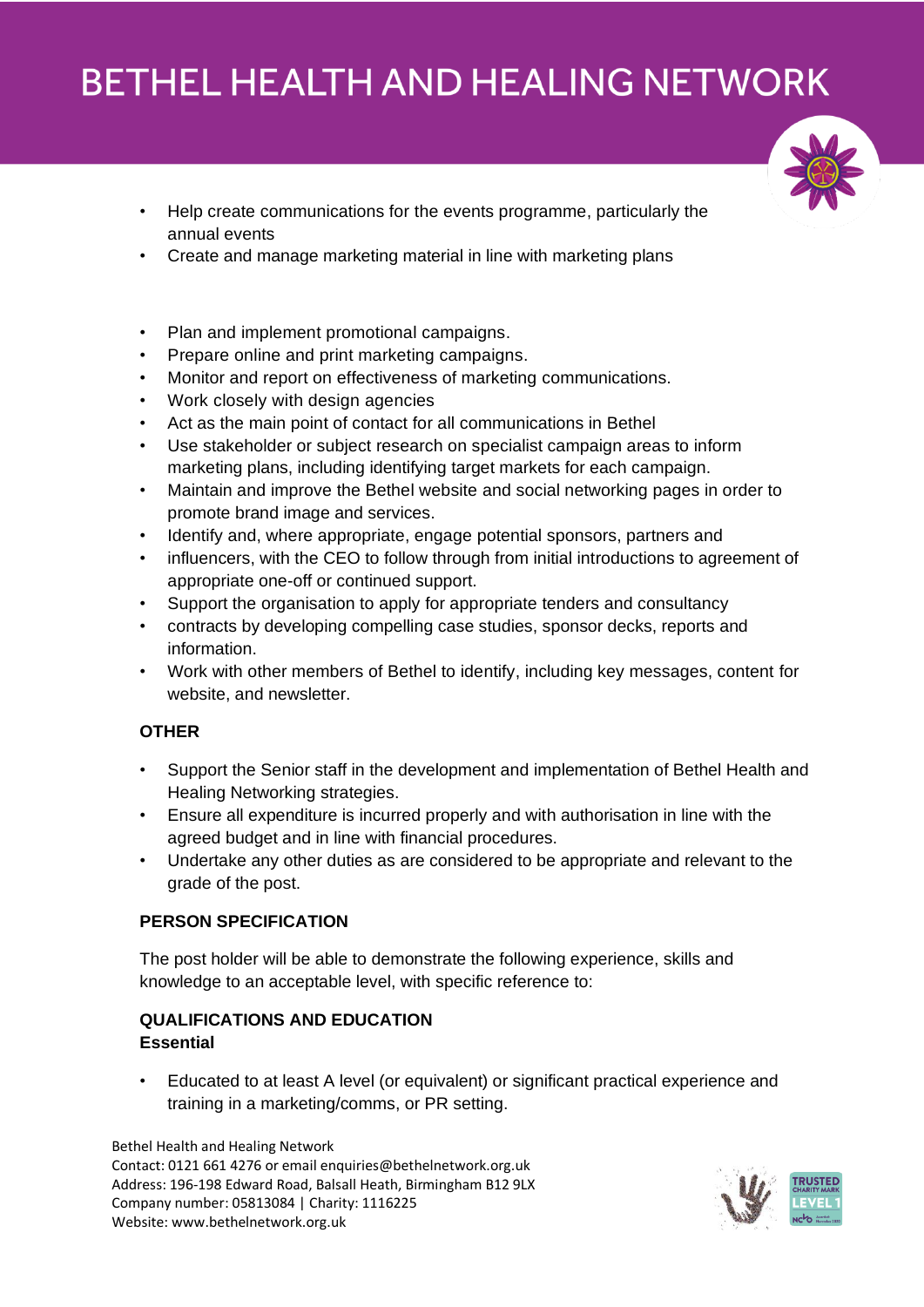

- Help create communications for the events programme, particularly the annual events
- Create and manage marketing material in line with marketing plans
- Plan and implement promotional campaigns.
- Prepare online and print marketing campaigns.
- Monitor and report on effectiveness of marketing communications.
- Work closely with design agencies
- Act as the main point of contact for all communications in Bethel
- Use stakeholder or subject research on specialist campaign areas to inform marketing plans, including identifying target markets for each campaign.
- Maintain and improve the Bethel website and social networking pages in order to promote brand image and services.
- Identify and, where appropriate, engage potential sponsors, partners and
- influencers, with the CEO to follow through from initial introductions to agreement of appropriate one-off or continued support.
- Support the organisation to apply for appropriate tenders and consultancy
- contracts by developing compelling case studies, sponsor decks, reports and information.
- Work with other members of Bethel to identify, including key messages, content for website, and newsletter.

### **OTHER**

- Support the Senior staff in the development and implementation of Bethel Health and Healing Networking strategies.
- Ensure all expenditure is incurred properly and with authorisation in line with the agreed budget and in line with financial procedures.
- Undertake any other duties as are considered to be appropriate and relevant to the grade of the post.

### **PERSON SPECIFICATION**

The post holder will be able to demonstrate the following experience, skills and knowledge to an acceptable level, with specific reference to:

## **QUALIFICATIONS AND EDUCATION Essential**

• Educated to at least A level (or equivalent) or significant practical experience and training in a marketing/comms, or PR setting.

Bethel Health and Healing Network Contact: 0121 661 4276 or email enquiries@bethelnetwork.org.uk Address: 196-198 Edward Road, Balsall Heath, Birmingham B12 9LX Company number: 05813084 | Charity: 1116225 Website: www.bethelnetwork.org.uk

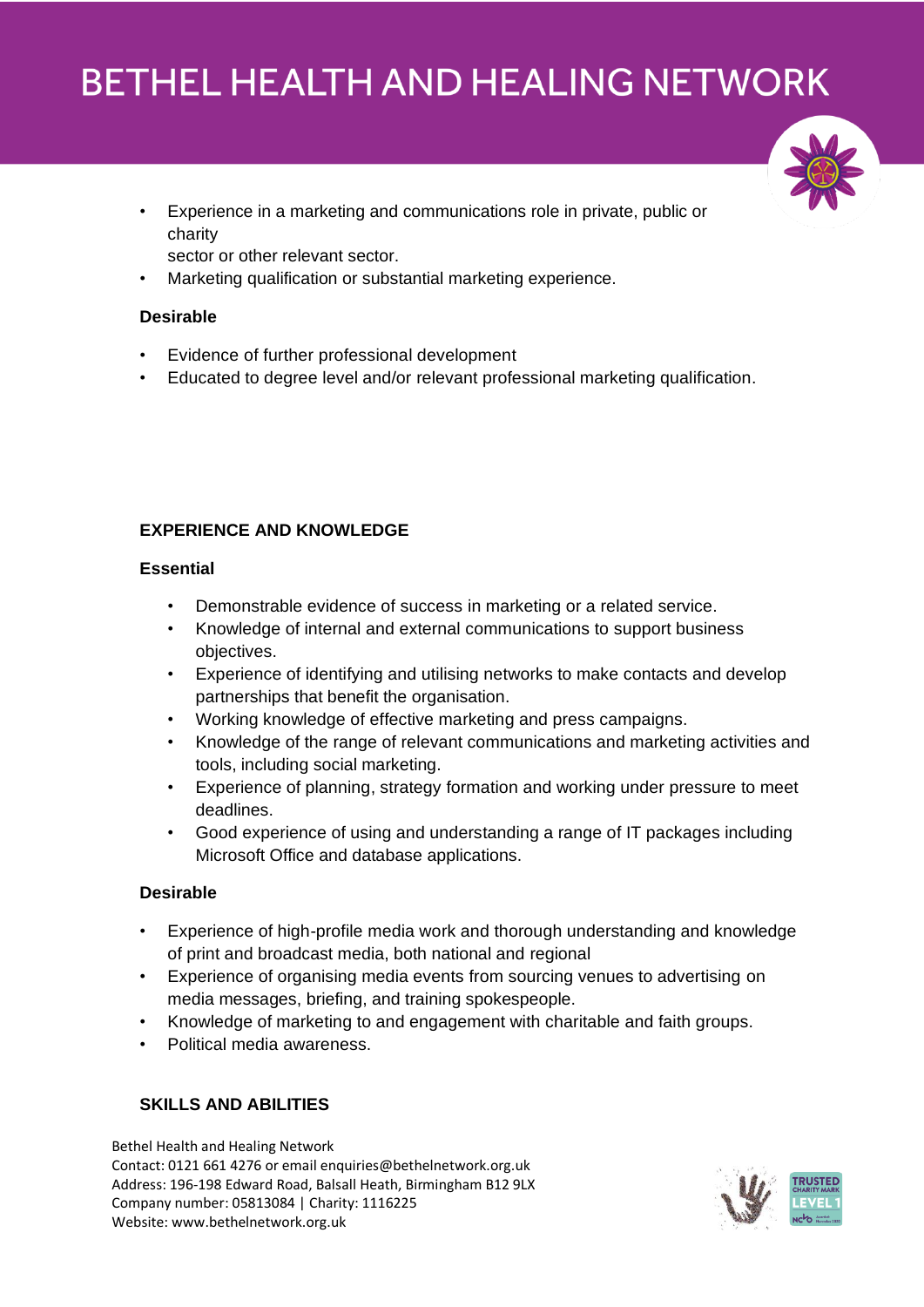• Experience in a marketing and communications role in private, public or charity

sector or other relevant sector.

• Marketing qualification or substantial marketing experience.

## **Desirable**

- Evidence of further professional development
- Educated to degree level and/or relevant professional marketing qualification.

# **EXPERIENCE AND KNOWLEDGE**

### **Essential**

- Demonstrable evidence of success in marketing or a related service.
- Knowledge of internal and external communications to support business objectives.
- Experience of identifying and utilising networks to make contacts and develop partnerships that benefit the organisation.
- Working knowledge of effective marketing and press campaigns.
- Knowledge of the range of relevant communications and marketing activities and tools, including social marketing.
- Experience of planning, strategy formation and working under pressure to meet deadlines.
- Good experience of using and understanding a range of IT packages including Microsoft Office and database applications.

### **Desirable**

- Experience of high-profile media work and thorough understanding and knowledge of print and broadcast media, both national and regional
- Experience of organising media events from sourcing venues to advertising on media messages, briefing, and training spokespeople.
- Knowledge of marketing to and engagement with charitable and faith groups.
- Political media awareness.

# **SKILLS AND ABILITIES**

Bethel Health and Healing Network Contact: 0121 661 4276 or email enquiries@bethelnetwork.org.uk Address: 196-198 Edward Road, Balsall Heath, Birmingham B12 9LX Company number: 05813084 | Charity: 1116225 Website: www.bethelnetwork.org.uk